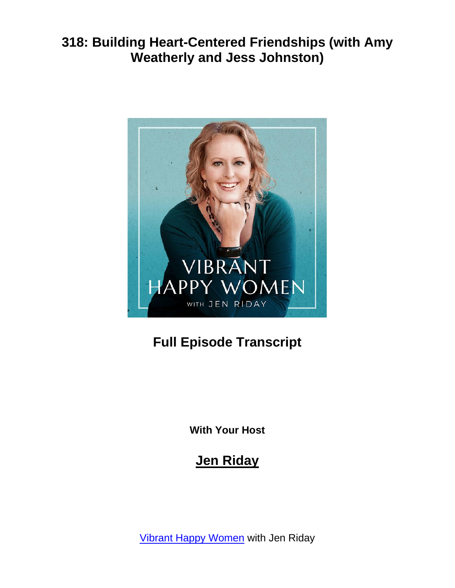

# **Full Episode Transcript**

**With Your Host**

# **Jen Riday**

[Vibrant Happy Women](https://www.jenriday.com/podcast/) with Jen Riday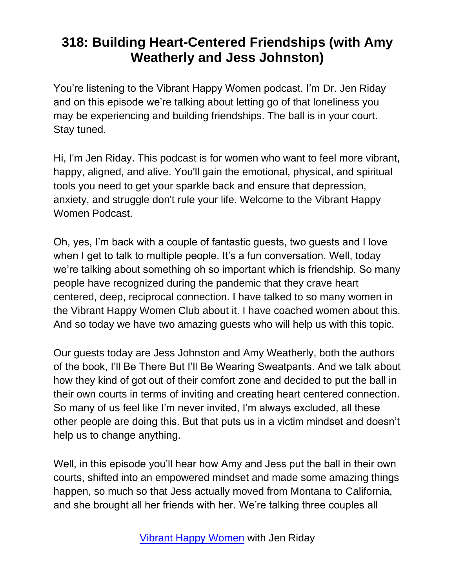You're listening to the Vibrant Happy Women podcast. I'm Dr. Jen Riday and on this episode we're talking about letting go of that loneliness you may be experiencing and building friendships. The ball is in your court. Stay tuned.

Hi, I'm Jen Riday. This podcast is for women who want to feel more vibrant, happy, aligned, and alive. You'll gain the emotional, physical, and spiritual tools you need to get your sparkle back and ensure that depression, anxiety, and struggle don't rule your life. Welcome to the Vibrant Happy Women Podcast.

Oh, yes, I'm back with a couple of fantastic guests, two guests and I love when I get to talk to multiple people. It's a fun conversation. Well, today we're talking about something oh so important which is friendship. So many people have recognized during the pandemic that they crave heart centered, deep, reciprocal connection. I have talked to so many women in the Vibrant Happy Women Club about it. I have coached women about this. And so today we have two amazing guests who will help us with this topic.

Our guests today are Jess Johnston and Amy Weatherly, both the authors of the book, I'll Be There But I'll Be Wearing Sweatpants. And we talk about how they kind of got out of their comfort zone and decided to put the ball in their own courts in terms of inviting and creating heart centered connection. So many of us feel like I'm never invited, I'm always excluded, all these other people are doing this. But that puts us in a victim mindset and doesn't help us to change anything.

Well, in this episode you'll hear how Amy and Jess put the ball in their own courts, shifted into an empowered mindset and made some amazing things happen, so much so that Jess actually moved from Montana to California, and she brought all her friends with her. We're talking three couples all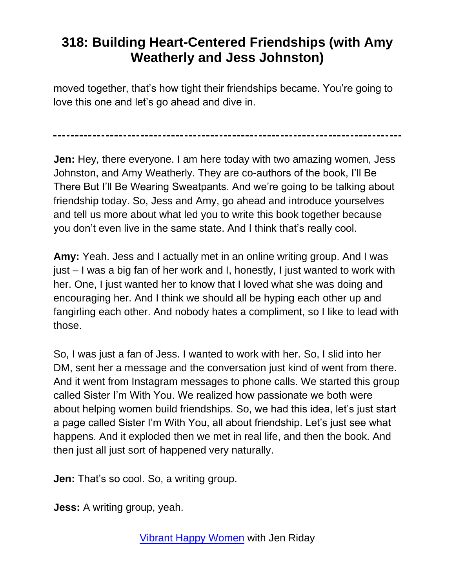moved together, that's how tight their friendships became. You're going to love this one and let's go ahead and dive in.

**Jen:** Hey, there everyone. I am here today with two amazing women, Jess Johnston, and Amy Weatherly. They are co-authors of the book, I'll Be There But I'll Be Wearing Sweatpants. And we're going to be talking about friendship today. So, Jess and Amy, go ahead and introduce yourselves and tell us more about what led you to write this book together because you don't even live in the same state. And I think that's really cool.

**Amy:** Yeah. Jess and I actually met in an online writing group. And I was just – I was a big fan of her work and I, honestly, I just wanted to work with her. One, I just wanted her to know that I loved what she was doing and encouraging her. And I think we should all be hyping each other up and fangirling each other. And nobody hates a compliment, so I like to lead with those.

So, I was just a fan of Jess. I wanted to work with her. So, I slid into her DM, sent her a message and the conversation just kind of went from there. And it went from Instagram messages to phone calls. We started this group called Sister I'm With You. We realized how passionate we both were about helping women build friendships. So, we had this idea, let's just start a page called Sister I'm With You, all about friendship. Let's just see what happens. And it exploded then we met in real life, and then the book. And then just all just sort of happened very naturally.

**Jen:** That's so cool. So, a writing group.

**Jess:** A writing group, yeah.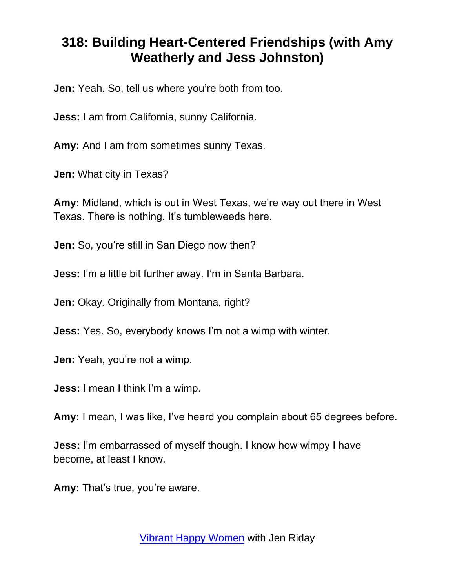**Jen:** Yeah. So, tell us where you're both from too.

**Jess:** I am from California, sunny California.

**Amy:** And I am from sometimes sunny Texas.

**Jen:** What city in Texas?

**Amy:** Midland, which is out in West Texas, we're way out there in West Texas. There is nothing. It's tumbleweeds here.

**Jen:** So, you're still in San Diego now then?

**Jess:** I'm a little bit further away. I'm in Santa Barbara.

**Jen:** Okay. Originally from Montana, right?

**Jess:** Yes. So, everybody knows I'm not a wimp with winter.

**Jen:** Yeah, you're not a wimp.

**Jess:** I mean I think I'm a wimp.

**Amy:** I mean, I was like, I've heard you complain about 65 degrees before.

**Jess:** I'm embarrassed of myself though. I know how wimpy I have become, at least I know.

**Amy:** That's true, you're aware.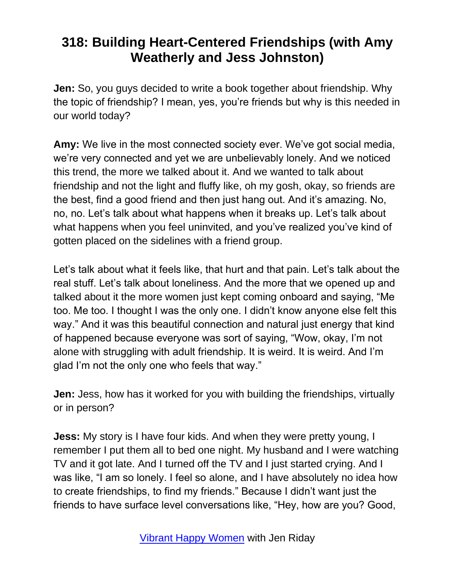**Jen:** So, you guys decided to write a book together about friendship. Why the topic of friendship? I mean, yes, you're friends but why is this needed in our world today?

**Amy:** We live in the most connected society ever. We've got social media, we're very connected and yet we are unbelievably lonely. And we noticed this trend, the more we talked about it. And we wanted to talk about friendship and not the light and fluffy like, oh my gosh, okay, so friends are the best, find a good friend and then just hang out. And it's amazing. No, no, no. Let's talk about what happens when it breaks up. Let's talk about what happens when you feel uninvited, and you've realized you've kind of gotten placed on the sidelines with a friend group.

Let's talk about what it feels like, that hurt and that pain. Let's talk about the real stuff. Let's talk about loneliness. And the more that we opened up and talked about it the more women just kept coming onboard and saying, "Me too. Me too. I thought I was the only one. I didn't know anyone else felt this way." And it was this beautiful connection and natural just energy that kind of happened because everyone was sort of saying, "Wow, okay, I'm not alone with struggling with adult friendship. It is weird. It is weird. And I'm glad I'm not the only one who feels that way."

**Jen:** Jess, how has it worked for you with building the friendships, virtually or in person?

**Jess:** My story is I have four kids. And when they were pretty young, I remember I put them all to bed one night. My husband and I were watching TV and it got late. And I turned off the TV and I just started crying. And I was like, "I am so lonely. I feel so alone, and I have absolutely no idea how to create friendships, to find my friends." Because I didn't want just the friends to have surface level conversations like, "Hey, how are you? Good,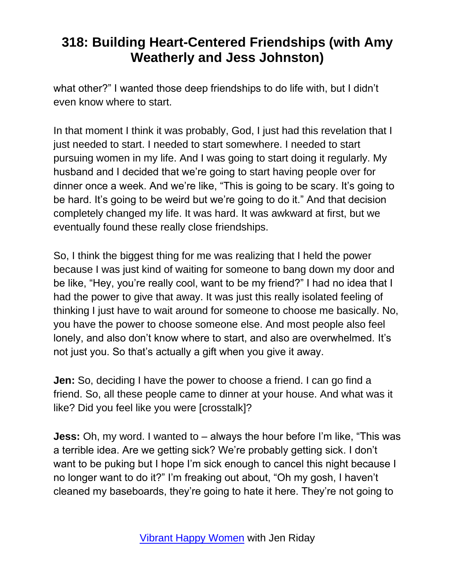what other?" I wanted those deep friendships to do life with, but I didn't even know where to start.

In that moment I think it was probably, God, I just had this revelation that I just needed to start. I needed to start somewhere. I needed to start pursuing women in my life. And I was going to start doing it regularly. My husband and I decided that we're going to start having people over for dinner once a week. And we're like, "This is going to be scary. It's going to be hard. It's going to be weird but we're going to do it." And that decision completely changed my life. It was hard. It was awkward at first, but we eventually found these really close friendships.

So, I think the biggest thing for me was realizing that I held the power because I was just kind of waiting for someone to bang down my door and be like, "Hey, you're really cool, want to be my friend?" I had no idea that I had the power to give that away. It was just this really isolated feeling of thinking I just have to wait around for someone to choose me basically. No, you have the power to choose someone else. And most people also feel lonely, and also don't know where to start, and also are overwhelmed. It's not just you. So that's actually a gift when you give it away.

**Jen:** So, deciding I have the power to choose a friend. I can go find a friend. So, all these people came to dinner at your house. And what was it like? Did you feel like you were [crosstalk]?

**Jess:** Oh, my word. I wanted to – always the hour before I'm like, "This was a terrible idea. Are we getting sick? We're probably getting sick. I don't want to be puking but I hope I'm sick enough to cancel this night because I no longer want to do it?" I'm freaking out about, "Oh my gosh, I haven't cleaned my baseboards, they're going to hate it here. They're not going to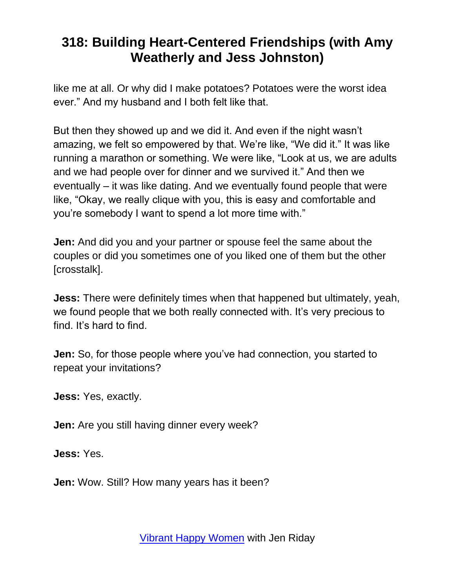like me at all. Or why did I make potatoes? Potatoes were the worst idea ever." And my husband and I both felt like that.

But then they showed up and we did it. And even if the night wasn't amazing, we felt so empowered by that. We're like, "We did it." It was like running a marathon or something. We were like, "Look at us, we are adults and we had people over for dinner and we survived it." And then we eventually – it was like dating. And we eventually found people that were like, "Okay, we really clique with you, this is easy and comfortable and you're somebody I want to spend a lot more time with."

**Jen:** And did you and your partner or spouse feel the same about the couples or did you sometimes one of you liked one of them but the other [crosstalk].

**Jess:** There were definitely times when that happened but ultimately, yeah, we found people that we both really connected with. It's very precious to find. It's hard to find.

**Jen:** So, for those people where you've had connection, you started to repeat your invitations?

**Jess:** Yes, exactly.

**Jen:** Are you still having dinner every week?

**Jess:** Yes.

**Jen:** Wow. Still? How many years has it been?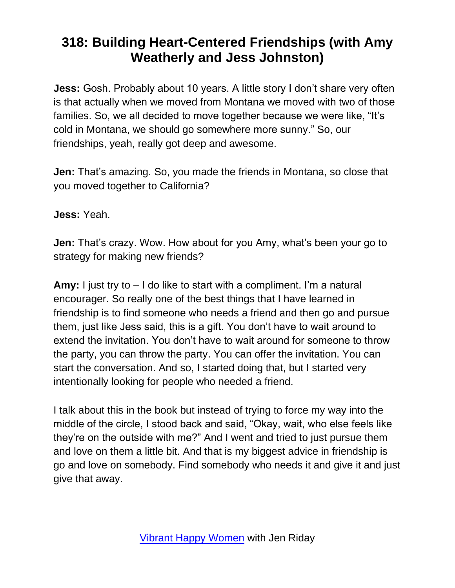**Jess:** Gosh. Probably about 10 years. A little story I don't share very often is that actually when we moved from Montana we moved with two of those families. So, we all decided to move together because we were like, "It's cold in Montana, we should go somewhere more sunny." So, our friendships, yeah, really got deep and awesome.

**Jen:** That's amazing. So, you made the friends in Montana, so close that you moved together to California?

**Jess:** Yeah.

**Jen:** That's crazy. Wow. How about for you Amy, what's been your go to strategy for making new friends?

**Amy:** I just try to – I do like to start with a compliment. I'm a natural encourager. So really one of the best things that I have learned in friendship is to find someone who needs a friend and then go and pursue them, just like Jess said, this is a gift. You don't have to wait around to extend the invitation. You don't have to wait around for someone to throw the party, you can throw the party. You can offer the invitation. You can start the conversation. And so, I started doing that, but I started very intentionally looking for people who needed a friend.

I talk about this in the book but instead of trying to force my way into the middle of the circle, I stood back and said, "Okay, wait, who else feels like they're on the outside with me?" And I went and tried to just pursue them and love on them a little bit. And that is my biggest advice in friendship is go and love on somebody. Find somebody who needs it and give it and just give that away.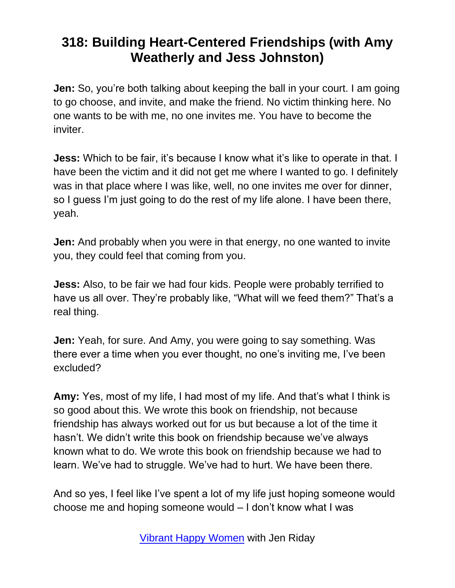**Jen:** So, you're both talking about keeping the ball in your court. I am going to go choose, and invite, and make the friend. No victim thinking here. No one wants to be with me, no one invites me. You have to become the inviter.

**Jess:** Which to be fair, it's because I know what it's like to operate in that. I have been the victim and it did not get me where I wanted to go. I definitely was in that place where I was like, well, no one invites me over for dinner, so I guess I'm just going to do the rest of my life alone. I have been there, yeah.

**Jen:** And probably when you were in that energy, no one wanted to invite you, they could feel that coming from you.

**Jess:** Also, to be fair we had four kids. People were probably terrified to have us all over. They're probably like, "What will we feed them?" That's a real thing.

**Jen:** Yeah, for sure. And Amy, you were going to say something. Was there ever a time when you ever thought, no one's inviting me, I've been excluded?

**Amy:** Yes, most of my life, I had most of my life. And that's what I think is so good about this. We wrote this book on friendship, not because friendship has always worked out for us but because a lot of the time it hasn't. We didn't write this book on friendship because we've always known what to do. We wrote this book on friendship because we had to learn. We've had to struggle. We've had to hurt. We have been there.

And so yes, I feel like I've spent a lot of my life just hoping someone would choose me and hoping someone would – I don't know what I was

[Vibrant Happy Women](https://www.jenriday.com/podcast/) with Jen Riday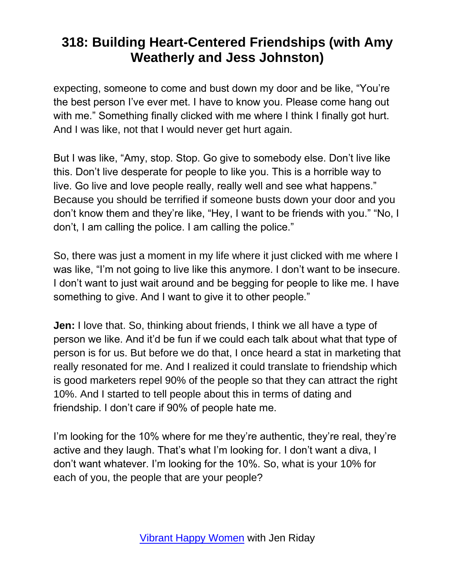expecting, someone to come and bust down my door and be like, "You're the best person I've ever met. I have to know you. Please come hang out with me." Something finally clicked with me where I think I finally got hurt. And I was like, not that I would never get hurt again.

But I was like, "Amy, stop. Stop. Go give to somebody else. Don't live like this. Don't live desperate for people to like you. This is a horrible way to live. Go live and love people really, really well and see what happens." Because you should be terrified if someone busts down your door and you don't know them and they're like, "Hey, I want to be friends with you." "No, I don't, I am calling the police. I am calling the police."

So, there was just a moment in my life where it just clicked with me where I was like, "I'm not going to live like this anymore. I don't want to be insecure. I don't want to just wait around and be begging for people to like me. I have something to give. And I want to give it to other people."

**Jen:** I love that. So, thinking about friends, I think we all have a type of person we like. And it'd be fun if we could each talk about what that type of person is for us. But before we do that, I once heard a stat in marketing that really resonated for me. And I realized it could translate to friendship which is good marketers repel 90% of the people so that they can attract the right 10%. And I started to tell people about this in terms of dating and friendship. I don't care if 90% of people hate me.

I'm looking for the 10% where for me they're authentic, they're real, they're active and they laugh. That's what I'm looking for. I don't want a diva, I don't want whatever. I'm looking for the 10%. So, what is your 10% for each of you, the people that are your people?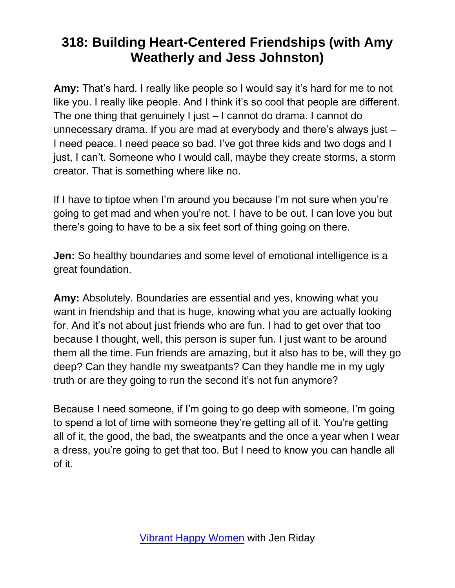**Amy:** That's hard. I really like people so I would say it's hard for me to not like you. I really like people. And I think it's so cool that people are different. The one thing that genuinely I just – I cannot do drama. I cannot do unnecessary drama. If you are mad at everybody and there's always just – I need peace. I need peace so bad. I've got three kids and two dogs and I just, I can't. Someone who I would call, maybe they create storms, a storm creator. That is something where like no.

If I have to tiptoe when I'm around you because I'm not sure when you're going to get mad and when you're not. I have to be out. I can love you but there's going to have to be a six feet sort of thing going on there.

**Jen:** So healthy boundaries and some level of emotional intelligence is a great foundation.

**Amy:** Absolutely. Boundaries are essential and yes, knowing what you want in friendship and that is huge, knowing what you are actually looking for. And it's not about just friends who are fun. I had to get over that too because I thought, well, this person is super fun. I just want to be around them all the time. Fun friends are amazing, but it also has to be, will they go deep? Can they handle my sweatpants? Can they handle me in my ugly truth or are they going to run the second it's not fun anymore?

Because I need someone, if I'm going to go deep with someone, I'm going to spend a lot of time with someone they're getting all of it. You're getting all of it, the good, the bad, the sweatpants and the once a year when I wear a dress, you're going to get that too. But I need to know you can handle all of it.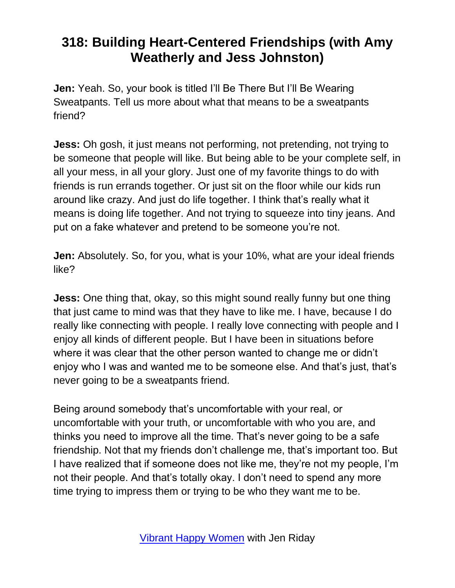**Jen:** Yeah. So, your book is titled I'll Be There But I'll Be Wearing Sweatpants. Tell us more about what that means to be a sweatpants friend?

**Jess:** Oh gosh, it just means not performing, not pretending, not trying to be someone that people will like. But being able to be your complete self, in all your mess, in all your glory. Just one of my favorite things to do with friends is run errands together. Or just sit on the floor while our kids run around like crazy. And just do life together. I think that's really what it means is doing life together. And not trying to squeeze into tiny jeans. And put on a fake whatever and pretend to be someone you're not.

**Jen:** Absolutely. So, for you, what is your 10%, what are your ideal friends like?

**Jess:** One thing that, okay, so this might sound really funny but one thing that just came to mind was that they have to like me. I have, because I do really like connecting with people. I really love connecting with people and I enjoy all kinds of different people. But I have been in situations before where it was clear that the other person wanted to change me or didn't enjoy who I was and wanted me to be someone else. And that's just, that's never going to be a sweatpants friend.

Being around somebody that's uncomfortable with your real, or uncomfortable with your truth, or uncomfortable with who you are, and thinks you need to improve all the time. That's never going to be a safe friendship. Not that my friends don't challenge me, that's important too. But I have realized that if someone does not like me, they're not my people, I'm not their people. And that's totally okay. I don't need to spend any more time trying to impress them or trying to be who they want me to be.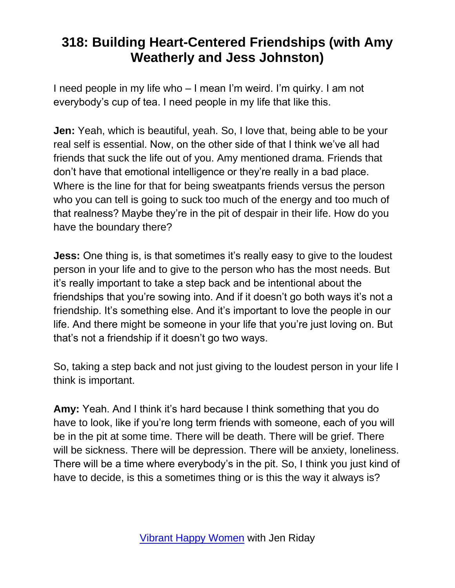I need people in my life who – I mean I'm weird. I'm quirky. I am not everybody's cup of tea. I need people in my life that like this.

**Jen:** Yeah, which is beautiful, yeah. So, I love that, being able to be your real self is essential. Now, on the other side of that I think we've all had friends that suck the life out of you. Amy mentioned drama. Friends that don't have that emotional intelligence or they're really in a bad place. Where is the line for that for being sweatpants friends versus the person who you can tell is going to suck too much of the energy and too much of that realness? Maybe they're in the pit of despair in their life. How do you have the boundary there?

**Jess:** One thing is, is that sometimes it's really easy to give to the loudest person in your life and to give to the person who has the most needs. But it's really important to take a step back and be intentional about the friendships that you're sowing into. And if it doesn't go both ways it's not a friendship. It's something else. And it's important to love the people in our life. And there might be someone in your life that you're just loving on. But that's not a friendship if it doesn't go two ways.

So, taking a step back and not just giving to the loudest person in your life I think is important.

**Amy:** Yeah. And I think it's hard because I think something that you do have to look, like if you're long term friends with someone, each of you will be in the pit at some time. There will be death. There will be grief. There will be sickness. There will be depression. There will be anxiety, loneliness. There will be a time where everybody's in the pit. So, I think you just kind of have to decide, is this a sometimes thing or is this the way it always is?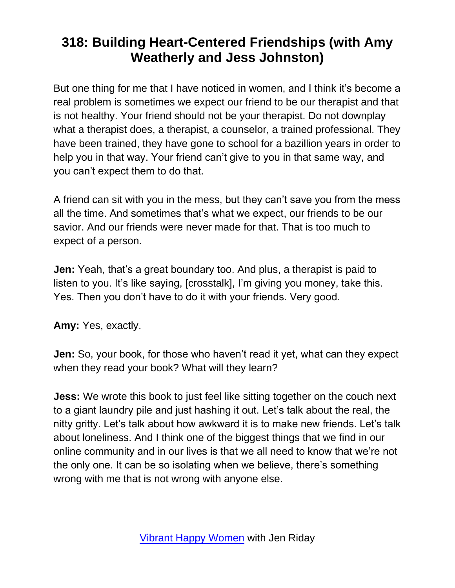But one thing for me that I have noticed in women, and I think it's become a real problem is sometimes we expect our friend to be our therapist and that is not healthy. Your friend should not be your therapist. Do not downplay what a therapist does, a therapist, a counselor, a trained professional. They have been trained, they have gone to school for a bazillion years in order to help you in that way. Your friend can't give to you in that same way, and you can't expect them to do that.

A friend can sit with you in the mess, but they can't save you from the mess all the time. And sometimes that's what we expect, our friends to be our savior. And our friends were never made for that. That is too much to expect of a person.

**Jen:** Yeah, that's a great boundary too. And plus, a therapist is paid to listen to you. It's like saying, [crosstalk], I'm giving you money, take this. Yes. Then you don't have to do it with your friends. Very good.

**Amy:** Yes, exactly.

**Jen:** So, your book, for those who haven't read it yet, what can they expect when they read your book? What will they learn?

**Jess:** We wrote this book to just feel like sitting together on the couch next to a giant laundry pile and just hashing it out. Let's talk about the real, the nitty gritty. Let's talk about how awkward it is to make new friends. Let's talk about loneliness. And I think one of the biggest things that we find in our online community and in our lives is that we all need to know that we're not the only one. It can be so isolating when we believe, there's something wrong with me that is not wrong with anyone else.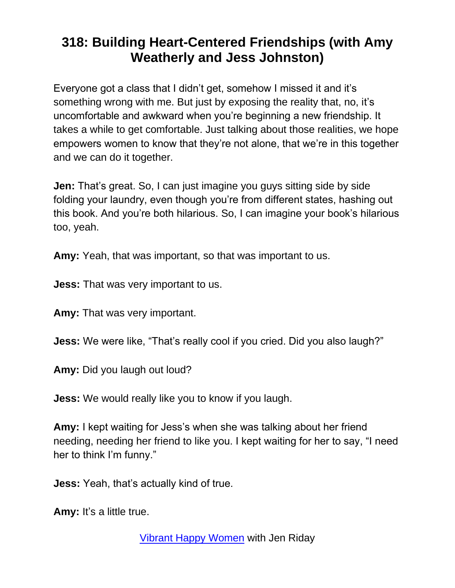Everyone got a class that I didn't get, somehow I missed it and it's something wrong with me. But just by exposing the reality that, no, it's uncomfortable and awkward when you're beginning a new friendship. It takes a while to get comfortable. Just talking about those realities, we hope empowers women to know that they're not alone, that we're in this together and we can do it together.

**Jen:** That's great. So, I can just imagine you guys sitting side by side folding your laundry, even though you're from different states, hashing out this book. And you're both hilarious. So, I can imagine your book's hilarious too, yeah.

**Amy:** Yeah, that was important, so that was important to us.

**Jess:** That was very important to us.

**Amy:** That was very important.

**Jess:** We were like, "That's really cool if you cried. Did you also laugh?"

**Amy:** Did you laugh out loud?

**Jess:** We would really like you to know if you laugh.

**Amy:** I kept waiting for Jess's when she was talking about her friend needing, needing her friend to like you. I kept waiting for her to say, "I need her to think I'm funny."

**Jess:** Yeah, that's actually kind of true.

**Amy:** It's a little true.

[Vibrant Happy Women](https://www.jenriday.com/podcast/) with Jen Riday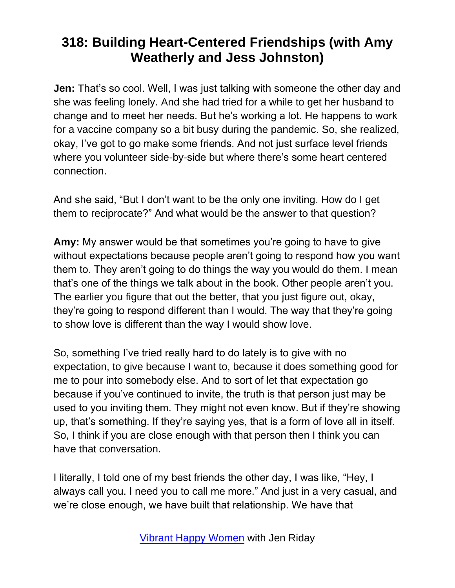**Jen:** That's so cool. Well, I was just talking with someone the other day and she was feeling lonely. And she had tried for a while to get her husband to change and to meet her needs. But he's working a lot. He happens to work for a vaccine company so a bit busy during the pandemic. So, she realized, okay, I've got to go make some friends. And not just surface level friends where you volunteer side-by-side but where there's some heart centered connection.

And she said, "But I don't want to be the only one inviting. How do I get them to reciprocate?" And what would be the answer to that question?

**Amy:** My answer would be that sometimes you're going to have to give without expectations because people aren't going to respond how you want them to. They aren't going to do things the way you would do them. I mean that's one of the things we talk about in the book. Other people aren't you. The earlier you figure that out the better, that you just figure out, okay, they're going to respond different than I would. The way that they're going to show love is different than the way I would show love.

So, something I've tried really hard to do lately is to give with no expectation, to give because I want to, because it does something good for me to pour into somebody else. And to sort of let that expectation go because if you've continued to invite, the truth is that person just may be used to you inviting them. They might not even know. But if they're showing up, that's something. If they're saying yes, that is a form of love all in itself. So, I think if you are close enough with that person then I think you can have that conversation.

I literally, I told one of my best friends the other day, I was like, "Hey, I always call you. I need you to call me more." And just in a very casual, and we're close enough, we have built that relationship. We have that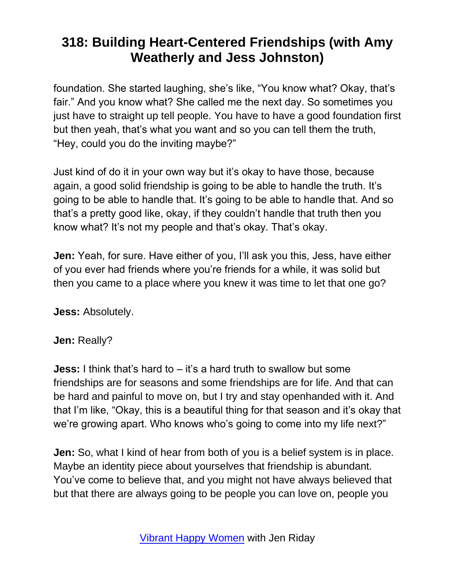foundation. She started laughing, she's like, "You know what? Okay, that's fair." And you know what? She called me the next day. So sometimes you just have to straight up tell people. You have to have a good foundation first but then yeah, that's what you want and so you can tell them the truth, "Hey, could you do the inviting maybe?"

Just kind of do it in your own way but it's okay to have those, because again, a good solid friendship is going to be able to handle the truth. It's going to be able to handle that. It's going to be able to handle that. And so that's a pretty good like, okay, if they couldn't handle that truth then you know what? It's not my people and that's okay. That's okay.

**Jen:** Yeah, for sure. Have either of you, I'll ask you this, Jess, have either of you ever had friends where you're friends for a while, it was solid but then you came to a place where you knew it was time to let that one go?

**Jess:** Absolutely.

#### **Jen:** Really?

**Jess:** I think that's hard to – it's a hard truth to swallow but some friendships are for seasons and some friendships are for life. And that can be hard and painful to move on, but I try and stay openhanded with it. And that I'm like, "Okay, this is a beautiful thing for that season and it's okay that we're growing apart. Who knows who's going to come into my life next?"

**Jen:** So, what I kind of hear from both of you is a belief system is in place. Maybe an identity piece about yourselves that friendship is abundant. You've come to believe that, and you might not have always believed that but that there are always going to be people you can love on, people you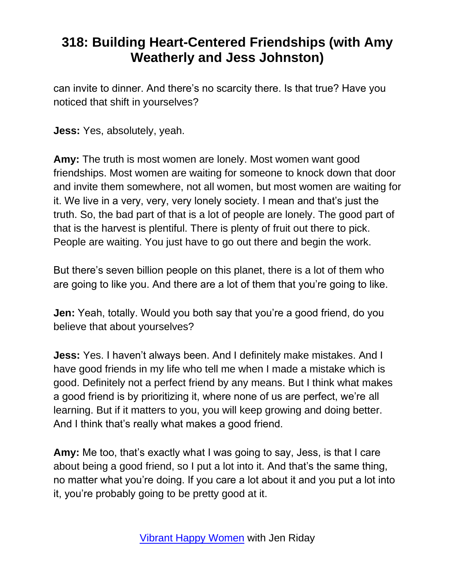can invite to dinner. And there's no scarcity there. Is that true? Have you noticed that shift in yourselves?

**Jess:** Yes, absolutely, yeah.

**Amy:** The truth is most women are lonely. Most women want good friendships. Most women are waiting for someone to knock down that door and invite them somewhere, not all women, but most women are waiting for it. We live in a very, very, very lonely society. I mean and that's just the truth. So, the bad part of that is a lot of people are lonely. The good part of that is the harvest is plentiful. There is plenty of fruit out there to pick. People are waiting. You just have to go out there and begin the work.

But there's seven billion people on this planet, there is a lot of them who are going to like you. And there are a lot of them that you're going to like.

**Jen:** Yeah, totally. Would you both say that you're a good friend, do you believe that about yourselves?

**Jess:** Yes. I haven't always been. And I definitely make mistakes. And I have good friends in my life who tell me when I made a mistake which is good. Definitely not a perfect friend by any means. But I think what makes a good friend is by prioritizing it, where none of us are perfect, we're all learning. But if it matters to you, you will keep growing and doing better. And I think that's really what makes a good friend.

**Amy:** Me too, that's exactly what I was going to say, Jess, is that I care about being a good friend, so I put a lot into it. And that's the same thing, no matter what you're doing. If you care a lot about it and you put a lot into it, you're probably going to be pretty good at it.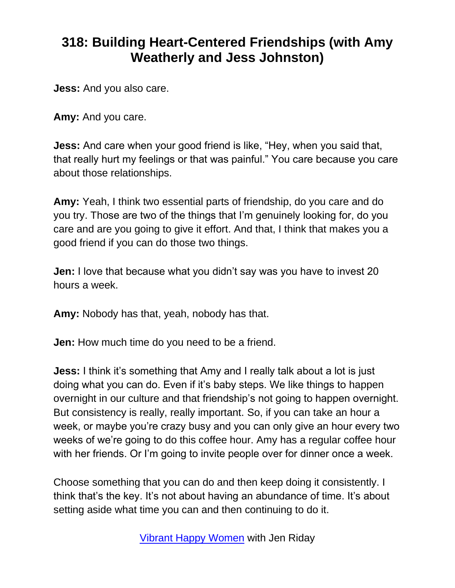**Jess:** And you also care.

**Amy:** And you care.

**Jess:** And care when your good friend is like, "Hey, when you said that, that really hurt my feelings or that was painful." You care because you care about those relationships.

**Amy:** Yeah, I think two essential parts of friendship, do you care and do you try. Those are two of the things that I'm genuinely looking for, do you care and are you going to give it effort. And that, I think that makes you a good friend if you can do those two things.

**Jen:** I love that because what you didn't say was you have to invest 20 hours a week.

**Amy:** Nobody has that, yeah, nobody has that.

**Jen:** How much time do you need to be a friend.

**Jess:** I think it's something that Amy and I really talk about a lot is just doing what you can do. Even if it's baby steps. We like things to happen overnight in our culture and that friendship's not going to happen overnight. But consistency is really, really important. So, if you can take an hour a week, or maybe you're crazy busy and you can only give an hour every two weeks of we're going to do this coffee hour. Amy has a regular coffee hour with her friends. Or I'm going to invite people over for dinner once a week.

Choose something that you can do and then keep doing it consistently. I think that's the key. It's not about having an abundance of time. It's about setting aside what time you can and then continuing to do it.

[Vibrant Happy Women](https://www.jenriday.com/podcast/) with Jen Riday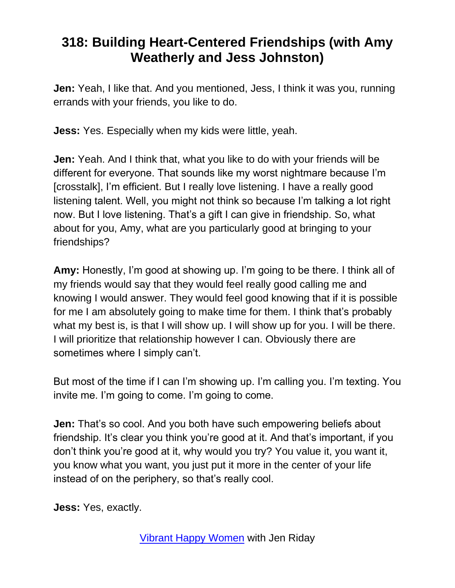**Jen:** Yeah, I like that. And you mentioned, Jess, I think it was you, running errands with your friends, you like to do.

**Jess:** Yes. Especially when my kids were little, yeah.

**Jen:** Yeah. And I think that, what you like to do with your friends will be different for everyone. That sounds like my worst nightmare because I'm [crosstalk], I'm efficient. But I really love listening. I have a really good listening talent. Well, you might not think so because I'm talking a lot right now. But I love listening. That's a gift I can give in friendship. So, what about for you, Amy, what are you particularly good at bringing to your friendships?

**Amy:** Honestly, I'm good at showing up. I'm going to be there. I think all of my friends would say that they would feel really good calling me and knowing I would answer. They would feel good knowing that if it is possible for me I am absolutely going to make time for them. I think that's probably what my best is, is that I will show up. I will show up for you. I will be there. I will prioritize that relationship however I can. Obviously there are sometimes where I simply can't.

But most of the time if I can I'm showing up. I'm calling you. I'm texting. You invite me. I'm going to come. I'm going to come.

**Jen:** That's so cool. And you both have such empowering beliefs about friendship. It's clear you think you're good at it. And that's important, if you don't think you're good at it, why would you try? You value it, you want it, you know what you want, you just put it more in the center of your life instead of on the periphery, so that's really cool.

**Jess:** Yes, exactly.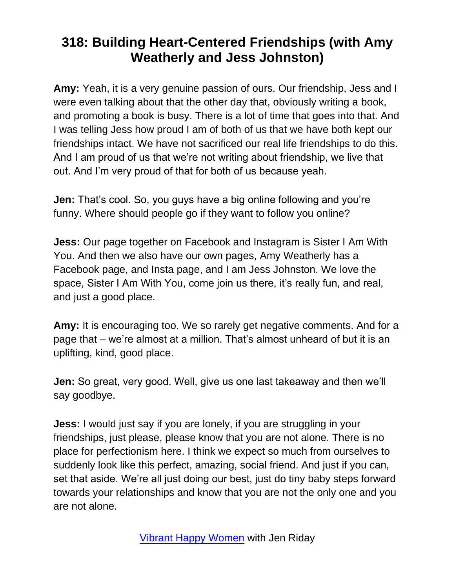**Amy:** Yeah, it is a very genuine passion of ours. Our friendship, Jess and I were even talking about that the other day that, obviously writing a book, and promoting a book is busy. There is a lot of time that goes into that. And I was telling Jess how proud I am of both of us that we have both kept our friendships intact. We have not sacrificed our real life friendships to do this. And I am proud of us that we're not writing about friendship, we live that out. And I'm very proud of that for both of us because yeah.

**Jen:** That's cool. So, you guys have a big online following and you're funny. Where should people go if they want to follow you online?

**Jess:** Our page together on Facebook and Instagram is Sister I Am With You. And then we also have our own pages, Amy Weatherly has a Facebook page, and Insta page, and I am Jess Johnston. We love the space, Sister I Am With You, come join us there, it's really fun, and real, and just a good place.

**Amy:** It is encouraging too. We so rarely get negative comments. And for a page that – we're almost at a million. That's almost unheard of but it is an uplifting, kind, good place.

**Jen:** So great, very good. Well, give us one last takeaway and then we'll say goodbye.

**Jess:** I would just say if you are lonely, if you are struggling in your friendships, just please, please know that you are not alone. There is no place for perfectionism here. I think we expect so much from ourselves to suddenly look like this perfect, amazing, social friend. And just if you can, set that aside. We're all just doing our best, just do tiny baby steps forward towards your relationships and know that you are not the only one and you are not alone.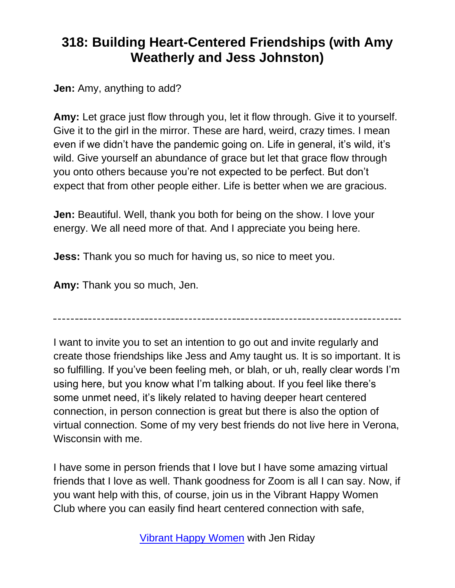**Jen:** Amy, anything to add?

**Amy:** Let grace just flow through you, let it flow through. Give it to yourself. Give it to the girl in the mirror. These are hard, weird, crazy times. I mean even if we didn't have the pandemic going on. Life in general, it's wild, it's wild. Give yourself an abundance of grace but let that grace flow through you onto others because you're not expected to be perfect. But don't expect that from other people either. Life is better when we are gracious.

**Jen:** Beautiful. Well, thank you both for being on the show. I love your energy. We all need more of that. And I appreciate you being here.

**Jess:** Thank you so much for having us, so nice to meet you.

**Amy:** Thank you so much, Jen.

I want to invite you to set an intention to go out and invite regularly and create those friendships like Jess and Amy taught us. It is so important. It is so fulfilling. If you've been feeling meh, or blah, or uh, really clear words I'm using here, but you know what I'm talking about. If you feel like there's some unmet need, it's likely related to having deeper heart centered connection, in person connection is great but there is also the option of virtual connection. Some of my very best friends do not live here in Verona, Wisconsin with me.

I have some in person friends that I love but I have some amazing virtual friends that I love as well. Thank goodness for Zoom is all I can say. Now, if you want help with this, of course, join us in the Vibrant Happy Women Club where you can easily find heart centered connection with safe,